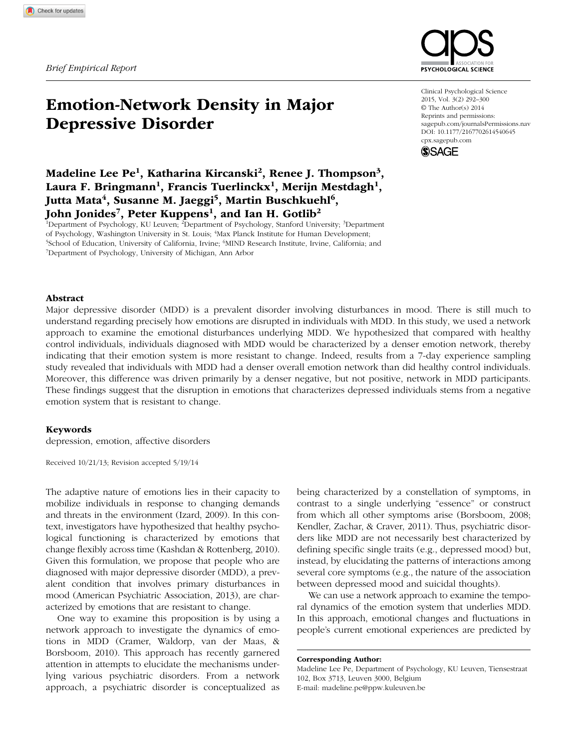

# Emotion-Network Density in Major Depressive Disorder

#### Clinical Psychological Science 2015, Vol. 3(2) 292–300 © The Author(s) 2014 Reprints and permissions: sagepub.com/journalsPermissions.nav DOI: 10.1177/2167702614540645 cpx.sagepub.com



## Madeline Lee Pe<sup>1</sup>, Katharina Kircanski<sup>2</sup>, Renee J. Thompson<sup>3</sup>, Laura F. Bringmann<sup>1</sup>, Francis Tuerlinckx<sup>1</sup>, Merijn Mestdagh<sup>1</sup>, Jutta Mata<sup>4</sup>, Susanne M. Jaeggi<sup>5</sup>, Martin Buschkuehl<sup>6</sup>, John Jonides<sup>7</sup>, Peter Kuppens<sup>1</sup>, and Ian H. Gotlib<sup>2</sup>

<sup>1</sup>Department of Psychology, KU Leuven; <sup>2</sup>Department of Psychology, Stanford University; <sup>3</sup>Department of Psychology, Washington University in St. Louis; <sup>4</sup>Max Planck Institute for Human Development;<br><sup>5</sup>School of Education, University of California, Invine, <sup>6</sup>MND Research Institute, Invine, California, a <sup>5</sup>School of Education, University of California, Irvine; <sup>6</sup>MIND Research Institute, Irvine, California; and<br><sup>7</sup>Department of Psychology, University of Michigan, Ann Arbor Department of Psychology, University of Michigan, Ann Arbor

#### Abstract

Major depressive disorder (MDD) is a prevalent disorder involving disturbances in mood. There is still much to understand regarding precisely how emotions are disrupted in individuals with MDD. In this study, we used a network approach to examine the emotional disturbances underlying MDD. We hypothesized that compared with healthy control individuals, individuals diagnosed with MDD would be characterized by a denser emotion network, thereby indicating that their emotion system is more resistant to change. Indeed, results from a 7-day experience sampling study revealed that individuals with MDD had a denser overall emotion network than did healthy control individuals. Moreover, this difference was driven primarily by a denser negative, but not positive, network in MDD participants. These findings suggest that the disruption in emotions that characterizes depressed individuals stems from a negative emotion system that is resistant to change.

#### Keywords

depression, emotion, affective disorders

Received 10/21/13; Revision accepted 5/19/14

The adaptive nature of emotions lies in their capacity to mobilize individuals in response to changing demands and threats in the environment (Izard, 2009). In this context, investigators have hypothesized that healthy psychological functioning is characterized by emotions that change flexibly across time (Kashdan & Rottenberg, 2010). Given this formulation, we propose that people who are diagnosed with major depressive disorder (MDD), a prevalent condition that involves primary disturbances in mood (American Psychiatric Association, 2013), are characterized by emotions that are resistant to change.

One way to examine this proposition is by using a network approach to investigate the dynamics of emotions in MDD (Cramer, Waldorp, van der Maas, & Borsboom, 2010). This approach has recently garnered attention in attempts to elucidate the mechanisms underlying various psychiatric disorders. From a network approach, a psychiatric disorder is conceptualized as

being characterized by a constellation of symptoms, in contrast to a single underlying "essence" or construct from which all other symptoms arise (Borsboom, 2008; Kendler, Zachar, & Craver, 2011). Thus, psychiatric disorders like MDD are not necessarily best characterized by defining specific single traits (e.g., depressed mood) but, instead, by elucidating the patterns of interactions among several core symptoms (e.g., the nature of the association between depressed mood and suicidal thoughts).

We can use a network approach to examine the temporal dynamics of the emotion system that underlies MDD. In this approach, emotional changes and fluctuations in people's current emotional experiences are predicted by

#### Corresponding Author:

Madeline Lee Pe, Department of Psychology, KU Leuven, Tiensestraat 102, Box 3713, Leuven 3000, Belgium E-mail: madeline.pe@ppw.kuleuven.be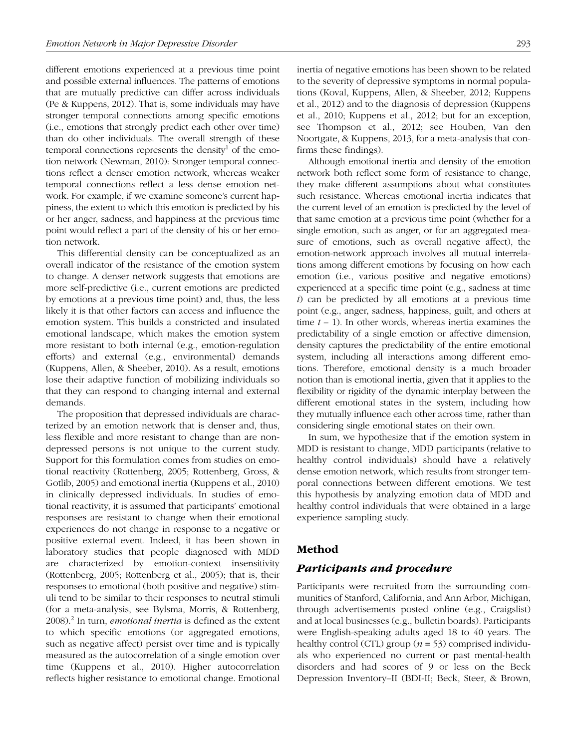different emotions experienced at a previous time point and possible external influences. The patterns of emotions that are mutually predictive can differ across individuals (Pe & Kuppens, 2012). That is, some individuals may have stronger temporal connections among specific emotions (i.e., emotions that strongly predict each other over time) than do other individuals. The overall strength of these temporal connections represents the density<sup>1</sup> of the emotion network (Newman, 2010): Stronger temporal connections reflect a denser emotion network, whereas weaker temporal connections reflect a less dense emotion network. For example, if we examine someone's current happiness, the extent to which this emotion is predicted by his or her anger, sadness, and happiness at the previous time point would reflect a part of the density of his or her emotion network.

This differential density can be conceptualized as an overall indicator of the resistance of the emotion system to change. A denser network suggests that emotions are more self-predictive (i.e., current emotions are predicted by emotions at a previous time point) and, thus, the less likely it is that other factors can access and influence the emotion system. This builds a constricted and insulated emotional landscape, which makes the emotion system more resistant to both internal (e.g., emotion-regulation efforts) and external (e.g., environmental) demands (Kuppens, Allen, & Sheeber, 2010). As a result, emotions lose their adaptive function of mobilizing individuals so that they can respond to changing internal and external demands.

The proposition that depressed individuals are characterized by an emotion network that is denser and, thus, less flexible and more resistant to change than are nondepressed persons is not unique to the current study. Support for this formulation comes from studies on emotional reactivity (Rottenberg, 2005; Rottenberg, Gross, & Gotlib, 2005) and emotional inertia (Kuppens et al., 2010) in clinically depressed individuals. In studies of emotional reactivity, it is assumed that participants' emotional responses are resistant to change when their emotional experiences do not change in response to a negative or positive external event. Indeed, it has been shown in laboratory studies that people diagnosed with MDD are characterized by emotion-context insensitivity (Rottenberg, 2005; Rottenberg et al., 2005); that is, their responses to emotional (both positive and negative) stimuli tend to be similar to their responses to neutral stimuli (for a meta-analysis, see Bylsma, Morris, & Rottenberg, 2008).<sup>2</sup> In turn, *emotional inertia* is defined as the extent to which specific emotions (or aggregated emotions, such as negative affect) persist over time and is typically measured as the autocorrelation of a single emotion over time (Kuppens et al., 2010). Higher autocorrelation reflects higher resistance to emotional change. Emotional

inertia of negative emotions has been shown to be related to the severity of depressive symptoms in normal populations (Koval, Kuppens, Allen, & Sheeber, 2012; Kuppens et al., 2012) and to the diagnosis of depression (Kuppens et al., 2010; Kuppens et al., 2012; but for an exception, see Thompson et al., 2012; see Houben, Van den Noortgate, & Kuppens, 2013, for a meta-analysis that confirms these findings).

Although emotional inertia and density of the emotion network both reflect some form of resistance to change, they make different assumptions about what constitutes such resistance. Whereas emotional inertia indicates that the current level of an emotion is predicted by the level of that same emotion at a previous time point (whether for a single emotion, such as anger, or for an aggregated measure of emotions, such as overall negative affect), the emotion-network approach involves all mutual interrelations among different emotions by focusing on how each emotion (i.e., various positive and negative emotions) experienced at a specific time point (e.g., sadness at time *t*) can be predicted by all emotions at a previous time point (e.g., anger, sadness, happiness, guilt, and others at time *t* – 1). In other words, whereas inertia examines the predictability of a single emotion or affective dimension, density captures the predictability of the entire emotional system, including all interactions among different emotions. Therefore, emotional density is a much broader notion than is emotional inertia, given that it applies to the flexibility or rigidity of the dynamic interplay between the different emotional states in the system, including how they mutually influence each other across time, rather than considering single emotional states on their own.

In sum, we hypothesize that if the emotion system in MDD is resistant to change, MDD participants (relative to healthy control individuals) should have a relatively dense emotion network, which results from stronger temporal connections between different emotions. We test this hypothesis by analyzing emotion data of MDD and healthy control individuals that were obtained in a large experience sampling study.

## Method

## *Participants and procedure*

Participants were recruited from the surrounding communities of Stanford, California, and Ann Arbor, Michigan, through advertisements posted online (e.g., Craigslist) and at local businesses (e.g., bulletin boards). Participants were English-speaking adults aged 18 to 40 years. The healthy control (CTL) group (*n* = 53) comprised individuals who experienced no current or past mental-health disorders and had scores of 9 or less on the Beck Depression Inventory–II (BDI-II; Beck, Steer, & Brown,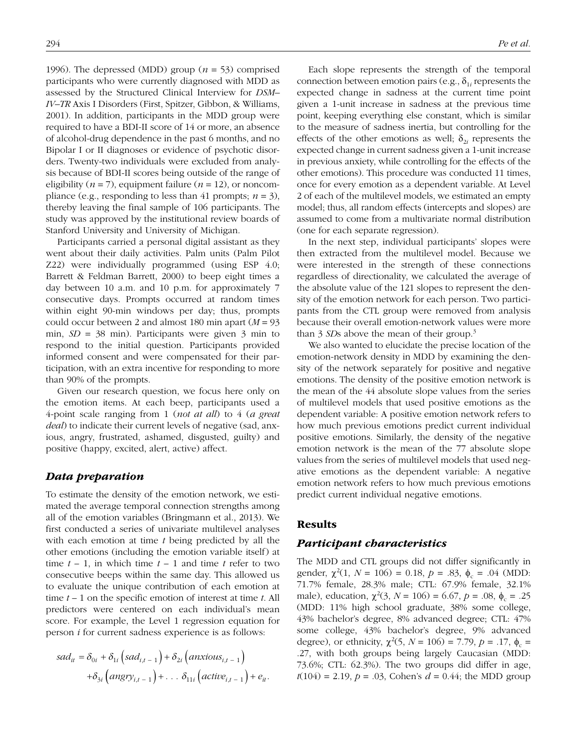1996). The depressed (MDD) group  $(n = 53)$  comprised participants who were currently diagnosed with MDD as assessed by the Structured Clinical Interview for *DSM– IV–TR* Axis I Disorders (First, Spitzer, Gibbon, & Williams, 2001). In addition, participants in the MDD group were required to have a BDI-II score of 14 or more, an absence of alcohol-drug dependence in the past 6 months, and no Bipolar I or II diagnoses or evidence of psychotic disorders. Twenty-two individuals were excluded from analysis because of BDI-II scores being outside of the range of eligibility  $(n = 7)$ , equipment failure  $(n = 12)$ , or noncompliance (e.g., responding to less than 41 prompts;  $n = 3$ ), thereby leaving the final sample of 106 participants. The study was approved by the institutional review boards of Stanford University and University of Michigan.

Participants carried a personal digital assistant as they went about their daily activities. Palm units (Palm Pilot Z22) were individually programmed (using ESP 4.0; Barrett & Feldman Barrett, 2000) to beep eight times a day between 10 a.m. and 10 p.m. for approximately 7 consecutive days. Prompts occurred at random times within eight 90-min windows per day; thus, prompts could occur between 2 and almost 180 min apart (*M* = 93 min, *SD* = 38 min). Participants were given 3 min to respond to the initial question. Participants provided informed consent and were compensated for their participation, with an extra incentive for responding to more than 90% of the prompts.

Given our research question, we focus here only on the emotion items. At each beep, participants used a 4-point scale ranging from 1 (*not at all*) to 4 (*a great deal*) to indicate their current levels of negative (sad, anxious, angry, frustrated, ashamed, disgusted, guilty) and positive (happy, excited, alert, active) affect.

## *Data preparation*

To estimate the density of the emotion network, we estimated the average temporal connection strengths among all of the emotion variables (Bringmann et al., 2013). We first conducted a series of univariate multilevel analyses with each emotion at time *t* being predicted by all the other emotions (including the emotion variable itself) at time  $t - 1$ , in which time  $t - 1$  and time  $t$  refer to two consecutive beeps within the same day. This allowed us to evaluate the unique contribution of each emotion at time *t* – 1 on the specific emotion of interest at time *t*. All predictors were centered on each individual's mean score. For example, the Level 1 regression equation for person *i* for current sadness experience is as follows:

$$
sad_{it} = \delta_{0i} + \delta_{1i} \left(sad_{i,t-1}\right) + \delta_{2i} \left( anxious_{i,t-1}\right)
$$

$$
+ \delta_{3i} \left( angry_{i,t-1}\right) + \dots \delta_{11i} \left( active_{i,t-1}\right) + e_{it}.
$$

Each slope represents the strength of the temporal connection between emotion pairs (e.g.,  $\delta_{1i}$  represents the expected change in sadness at the current time point given a 1-unit increase in sadness at the previous time point, keeping everything else constant, which is similar to the measure of sadness inertia, but controlling for the effects of the other emotions as well;  $\delta_{2i}$  represents the expected change in current sadness given a 1-unit increase in previous anxiety, while controlling for the effects of the other emotions). This procedure was conducted 11 times, once for every emotion as a dependent variable. At Level 2 of each of the multilevel models, we estimated an empty model; thus, all random effects (intercepts and slopes) are assumed to come from a multivariate normal distribution (one for each separate regression).

In the next step, individual participants' slopes were then extracted from the multilevel model. Because we were interested in the strength of these connections regardless of directionality, we calculated the average of the absolute value of the 121 slopes to represent the density of the emotion network for each person. Two participants from the CTL group were removed from analysis because their overall emotion-network values were more than 3 *SD*s above the mean of their group.3

We also wanted to elucidate the precise location of the emotion-network density in MDD by examining the density of the network separately for positive and negative emotions. The density of the positive emotion network is the mean of the 44 absolute slope values from the series of multilevel models that used positive emotions as the dependent variable: A positive emotion network refers to how much previous emotions predict current individual positive emotions. Similarly, the density of the negative emotion network is the mean of the 77 absolute slope values from the series of multilevel models that used negative emotions as the dependent variable: A negative emotion network refers to how much previous emotions predict current individual negative emotions.

## Results

## *Participant characteristics*

The MDD and CTL groups did not differ significantly in gender,  $\chi^2(1, N = 106) = 0.18$ ,  $p = .83$ ,  $\phi_c = .04$  (MDD: 71.7% female, 28.3% male; CTL: 67.9% female, 32.1% male), education,  $\chi^2(3, N = 106) = 6.67, p = .08, \phi_c = .25$ (MDD: 11% high school graduate, 38% some college, 43% bachelor's degree, 8% advanced degree; CTL: 47% some college, 43% bachelor's degree, 9% advanced degree), or ethnicity,  $\chi^2(5, N = 106) = 7.79$ ,  $p = .17$ ,  $\phi_c =$ .27, with both groups being largely Caucasian (MDD: 73.6%; CTL: 62.3%). The two groups did differ in age,  $t(104) = 2.19, p = .03$ , Cohen's  $d = 0.44$ ; the MDD group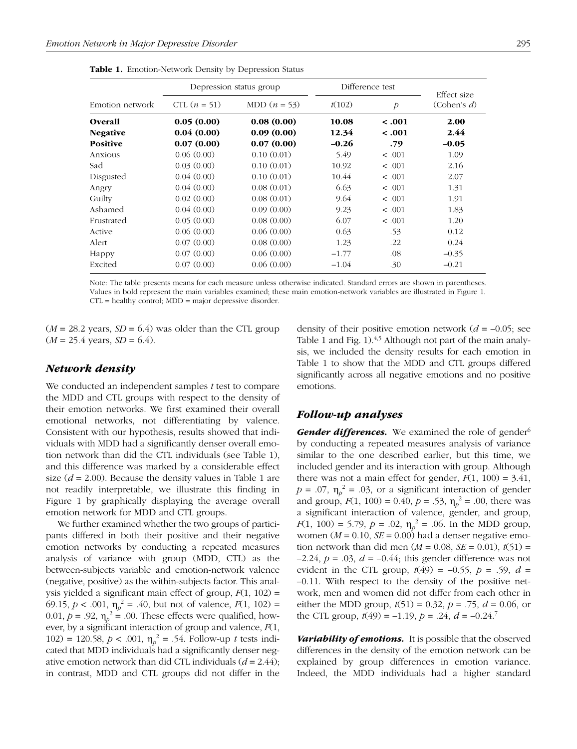| Emotion network | Depression status group |                | Difference test |               | Effect size    |
|-----------------|-------------------------|----------------|-----------------|---------------|----------------|
|                 | CTL $(n = 51)$          | MDD $(n = 53)$ | t(102)          | $\mathcal{P}$ | (Cohen's $d$ ) |
| <b>Overall</b>  | 0.05(0.00)              | 0.08(0.00)     | 10.08           | $-.001$       | 2.00           |
| <b>Negative</b> | 0.04(0.00)              | 0.09(0.00)     | 12.34           | $-.001$       | 2.44           |
| <b>Positive</b> | 0.07(0.00)              | 0.07(0.00)     | $-0.26$         | .79           | $-0.05$        |
| Anxious         | 0.06(0.00)              | 0.10(0.01)     | 5.49            | < .001        | 1.09           |
| Sad             | 0.03(0.00)              | 0.10(0.01)     | 10.92           | < .001        | 2.16           |
| Disgusted       | 0.04(0.00)              | 0.10(0.01)     | 10.44           | < 0.001       | 2.07           |
| Angry           | 0.04(0.00)              | 0.08(0.01)     | 6.63            | < 0.001       | 1.31           |
| Guilty          | 0.02(0.00)              | 0.08(0.01)     | 9.64            | < 0.001       | 1.91           |
| Ashamed         | 0.04(0.00)              | 0.09(0.00)     | 9.23            | < 0.001       | 1.83           |
| Frustrated      | 0.05(0.00)              | 0.08(0.00)     | 6.07            | < .001        | 1.20           |
| Active          | 0.06(0.00)              | 0.06(0.00)     | 0.63            | .53           | 0.12           |
| Alert           | 0.07(0.00)              | 0.08(0.00)     | 1.23            | .22           | 0.24           |
| Happy           | 0.07(0.00)              | 0.06(0.00)     | $-1.77$         | .08           | $-0.35$        |
| Excited         | 0.07(0.00)              | 0.06(0.00)     | $-1.04$         | .30           | $-0.21$        |

Table 1. Emotion-Network Density by Depression Status

Note: The table presents means for each measure unless otherwise indicated. Standard errors are shown in parentheses. Values in bold represent the main variables examined; these main emotion-network variables are illustrated in Figure 1. CTL = healthy control; MDD = major depressive disorder.

 $(M = 28.2$  years,  $SD = 6.4$ ) was older than the CTL group  $(M = 25.4 \text{ years}, SD = 6.4).$ 

## *Network density*

We conducted an independent samples *t* test to compare the MDD and CTL groups with respect to the density of their emotion networks. We first examined their overall emotional networks, not differentiating by valence. Consistent with our hypothesis, results showed that individuals with MDD had a significantly denser overall emotion network than did the CTL individuals (see Table 1), and this difference was marked by a considerable effect size (*d* = 2.00). Because the density values in Table 1 are not readily interpretable, we illustrate this finding in Figure 1 by graphically displaying the average overall emotion network for MDD and CTL groups.

We further examined whether the two groups of participants differed in both their positive and their negative emotion networks by conducting a repeated measures analysis of variance with group (MDD, CTL) as the between-subjects variable and emotion-network valence (negative, positive) as the within-subjects factor. This analysis yielded a significant main effect of group,  $F(1, 102) =$ 69.15,  $p < .001$ ,  $\eta_p^2 = .40$ , but not of valence,  $F(1, 102) =$ 0.01,  $p = 0.92$ ,  $\eta_p^2 = 0.00$ . These effects were qualified, however, by a significant interaction of group and valence, *F*(1, 102) = 120.58,  $p < .001$ ,  $\eta_p^2 = .54$ . Follow-up *t* tests indicated that MDD individuals had a significantly denser negative emotion network than did CTL individuals  $(d = 2.44)$ ; in contrast, MDD and CTL groups did not differ in the

density of their positive emotion network  $(d = -0.05;$  see Table 1 and Fig. 1).<sup>4,5</sup> Although not part of the main analysis, we included the density results for each emotion in Table 1 to show that the MDD and CTL groups differed significantly across all negative emotions and no positive emotions.

## *Follow-up analyses*

Gender differences. We examined the role of gender<sup>6</sup> by conducting a repeated measures analysis of variance similar to the one described earlier, but this time, we included gender and its interaction with group. Although there was not a main effect for gender,  $F(1, 100) = 3.41$ ,  $p = .07$ ,  $\eta_p^2 = .03$ , or a significant interaction of gender and group,  $F(1, 100) = 0.40$ ,  $p = .53$ ,  $\eta_p^2 = .00$ , there was a significant interaction of valence, gender, and group, *F*(1, 100) = 5.79, *p* = .02,  $\eta_p^2$  = .06. In the MDD group, women  $(M = 0.10, \, SE = 0.00)$  had a denser negative emotion network than did men ( $M = 0.08$ ,  $SE = 0.01$ ),  $t(51) =$  $-2.24$ ,  $p = .03$ ,  $d = -0.44$ ; this gender difference was not evident in the CTL group,  $t(49) = -0.55$ ,  $p = .59$ ,  $d =$ –0.11. With respect to the density of the positive network, men and women did not differ from each other in either the MDD group,  $t(51) = 0.32$ ,  $p = .75$ ,  $d = 0.06$ , or the CTL group,  $t(49) = -1.19$ ,  $p = .24$ ,  $d = -0.24$ .<sup>7</sup>

*Variability of emotions.* It is possible that the observed differences in the density of the emotion network can be explained by group differences in emotion variance. Indeed, the MDD individuals had a higher standard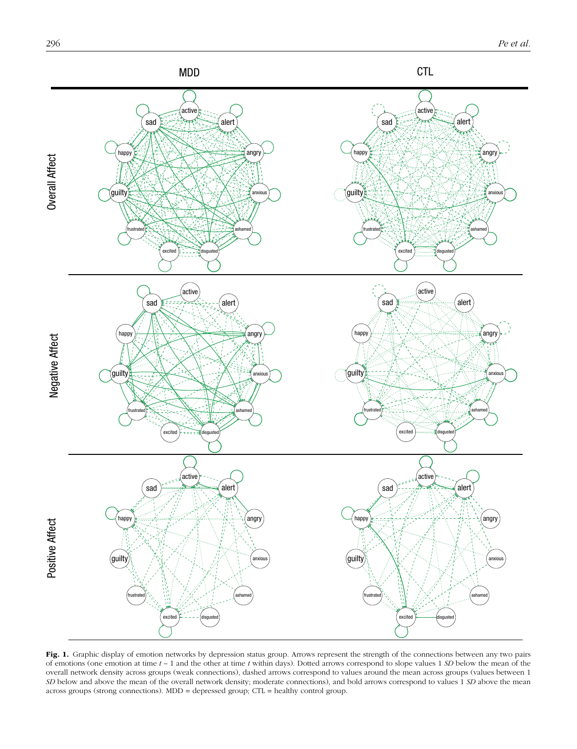

Fig. 1. Graphic display of emotion networks by depression status group. Arrows represent the strength of the connections between any two pairs of emotions (one emotion at time *t* – 1 and the other at time *t* within days). Dotted arrows correspond to slope values 1 *SD* below the mean of the overall network density across groups (weak connections), dashed arrows correspond to values around the mean across groups (values between 1 *SD* below and above the mean of the overall network density; moderate connections), and bold arrows correspond to values 1 *SD* above the mean across groups (strong connections). MDD = depressed group; CTL = healthy control group.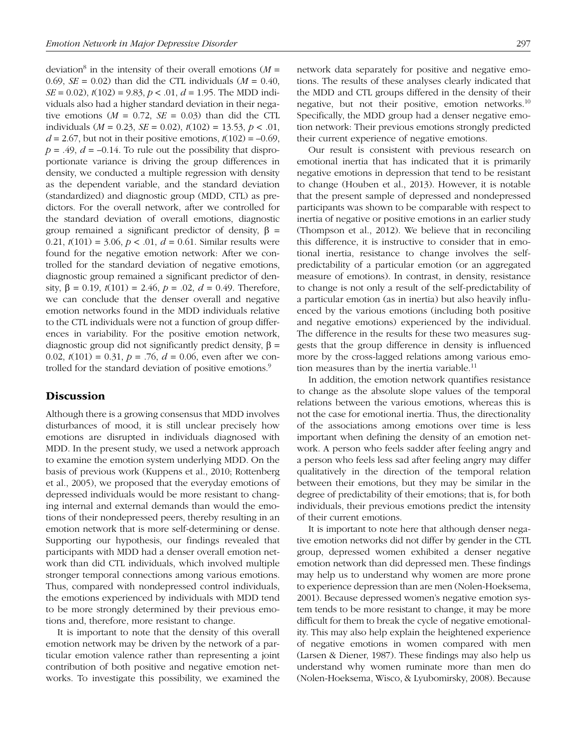deviation<sup>8</sup> in the intensity of their overall emotions  $(M =$ 0.69,  $SE = 0.02$ ) than did the CTL individuals ( $M = 0.40$ , *SE* = 0.02), *t*(102) = 9.83, *p* < .01, *d* = 1.95. The MDD individuals also had a higher standard deviation in their negative emotions  $(M = 0.72, SE = 0.03)$  than did the CTL individuals (*M* = 0.23, *SE* = 0.02), *t*(102) = 13.53, *p* < .01,  $d = 2.67$ , but not in their positive emotions,  $t(102) = -0.69$ ,  $p = .49$ ,  $d = -0.14$ . To rule out the possibility that disproportionate variance is driving the group differences in density, we conducted a multiple regression with density as the dependent variable, and the standard deviation (standardized) and diagnostic group (MDD, CTL) as predictors. For the overall network, after we controlled for the standard deviation of overall emotions, diagnostic group remained a significant predictor of density, β = 0.21,  $t(101) = 3.06$ ,  $p < 0.01$ ,  $d = 0.61$ . Similar results were found for the negative emotion network: After we controlled for the standard deviation of negative emotions, diagnostic group remained a significant predictor of density,  $β = 0.19$ ,  $t(101) = 2.46$ ,  $p = .02$ ,  $d = 0.49$ . Therefore, we can conclude that the denser overall and negative emotion networks found in the MDD individuals relative to the CTL individuals were not a function of group differences in variability. For the positive emotion network, diagnostic group did not significantly predict density,  $\beta$  = 0.02, *t*(101) = 0.31, *p* = .76, *d* = 0.06, even after we controlled for the standard deviation of positive emotions.<sup>9</sup>

## **Discussion**

Although there is a growing consensus that MDD involves disturbances of mood, it is still unclear precisely how emotions are disrupted in individuals diagnosed with MDD. In the present study, we used a network approach to examine the emotion system underlying MDD. On the basis of previous work (Kuppens et al., 2010; Rottenberg et al., 2005), we proposed that the everyday emotions of depressed individuals would be more resistant to changing internal and external demands than would the emotions of their nondepressed peers, thereby resulting in an emotion network that is more self-determining or dense. Supporting our hypothesis, our findings revealed that participants with MDD had a denser overall emotion network than did CTL individuals, which involved multiple stronger temporal connections among various emotions. Thus, compared with nondepressed control individuals, the emotions experienced by individuals with MDD tend to be more strongly determined by their previous emotions and, therefore, more resistant to change.

It is important to note that the density of this overall emotion network may be driven by the network of a particular emotion valence rather than representing a joint contribution of both positive and negative emotion networks. To investigate this possibility, we examined the network data separately for positive and negative emotions. The results of these analyses clearly indicated that the MDD and CTL groups differed in the density of their negative, but not their positive, emotion networks.<sup>10</sup> Specifically, the MDD group had a denser negative emotion network: Their previous emotions strongly predicted their current experience of negative emotions.

Our result is consistent with previous research on emotional inertia that has indicated that it is primarily negative emotions in depression that tend to be resistant to change (Houben et al., 2013). However, it is notable that the present sample of depressed and nondepressed participants was shown to be comparable with respect to inertia of negative or positive emotions in an earlier study (Thompson et al., 2012). We believe that in reconciling this difference, it is instructive to consider that in emotional inertia, resistance to change involves the selfpredictability of a particular emotion (or an aggregated measure of emotions). In contrast, in density, resistance to change is not only a result of the self-predictability of a particular emotion (as in inertia) but also heavily influenced by the various emotions (including both positive and negative emotions) experienced by the individual. The difference in the results for these two measures suggests that the group difference in density is influenced more by the cross-lagged relations among various emotion measures than by the inertia variable. $^{11}$ 

In addition, the emotion network quantifies resistance to change as the absolute slope values of the temporal relations between the various emotions, whereas this is not the case for emotional inertia. Thus, the directionality of the associations among emotions over time is less important when defining the density of an emotion network. A person who feels sadder after feeling angry and a person who feels less sad after feeling angry may differ qualitatively in the direction of the temporal relation between their emotions, but they may be similar in the degree of predictability of their emotions; that is, for both individuals, their previous emotions predict the intensity of their current emotions.

It is important to note here that although denser negative emotion networks did not differ by gender in the CTL group, depressed women exhibited a denser negative emotion network than did depressed men. These findings may help us to understand why women are more prone to experience depression than are men (Nolen-Hoeksema, 2001). Because depressed women's negative emotion system tends to be more resistant to change, it may be more difficult for them to break the cycle of negative emotionality. This may also help explain the heightened experience of negative emotions in women compared with men (Larsen & Diener, 1987). These findings may also help us understand why women ruminate more than men do (Nolen-Hoeksema, Wisco, & Lyubomirsky, 2008). Because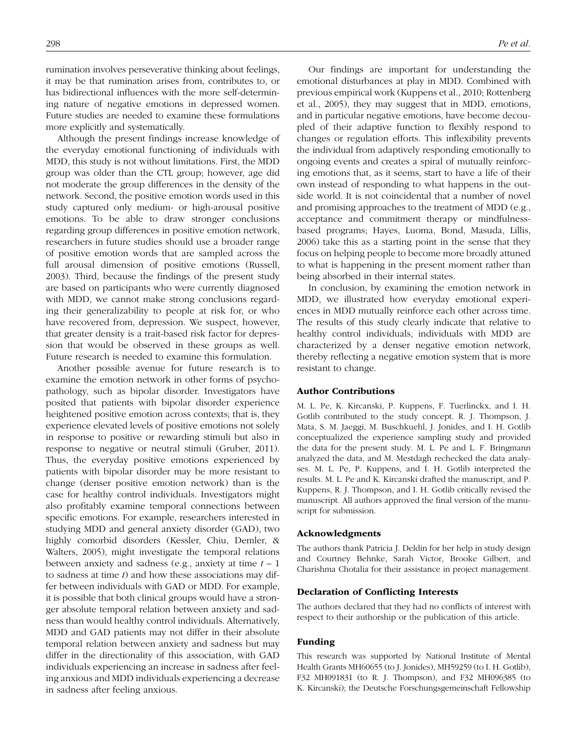rumination involves perseverative thinking about feelings, it may be that rumination arises from, contributes to, or has bidirectional influences with the more self-determining nature of negative emotions in depressed women. Future studies are needed to examine these formulations more explicitly and systematically.

Although the present findings increase knowledge of the everyday emotional functioning of individuals with MDD, this study is not without limitations. First, the MDD group was older than the CTL group; however, age did not moderate the group differences in the density of the network. Second, the positive emotion words used in this study captured only medium- or high-arousal positive emotions. To be able to draw stronger conclusions regarding group differences in positive emotion network, researchers in future studies should use a broader range of positive emotion words that are sampled across the full arousal dimension of positive emotions (Russell, 2003). Third, because the findings of the present study are based on participants who were currently diagnosed with MDD, we cannot make strong conclusions regarding their generalizability to people at risk for, or who have recovered from, depression. We suspect, however, that greater density is a trait-based risk factor for depression that would be observed in these groups as well. Future research is needed to examine this formulation.

Another possible avenue for future research is to examine the emotion network in other forms of psychopathology, such as bipolar disorder. Investigators have posited that patients with bipolar disorder experience heightened positive emotion across contexts; that is, they experience elevated levels of positive emotions not solely in response to positive or rewarding stimuli but also in response to negative or neutral stimuli (Gruber, 2011). Thus, the everyday positive emotions experienced by patients with bipolar disorder may be more resistant to change (denser positive emotion network) than is the case for healthy control individuals. Investigators might also profitably examine temporal connections between specific emotions. For example, researchers interested in studying MDD and general anxiety disorder (GAD), two highly comorbid disorders (Kessler, Chiu, Demler, & Walters, 2005), might investigate the temporal relations between anxiety and sadness (e.g., anxiety at time *t* – 1 to sadness at time *t*) and how these associations may differ between individuals with GAD or MDD. For example, it is possible that both clinical groups would have a stronger absolute temporal relation between anxiety and sadness than would healthy control individuals. Alternatively, MDD and GAD patients may not differ in their absolute temporal relation between anxiety and sadness but may differ in the directionality of this association, with GAD individuals experiencing an increase in sadness after feeling anxious and MDD individuals experiencing a decrease in sadness after feeling anxious.

298 *Pe et al.*

Our findings are important for understanding the emotional disturbances at play in MDD. Combined with previous empirical work (Kuppens et al., 2010; Rottenberg et al., 2005), they may suggest that in MDD, emotions, and in particular negative emotions, have become decoupled of their adaptive function to flexibly respond to changes or regulation efforts. This inflexibility prevents the individual from adaptively responding emotionally to ongoing events and creates a spiral of mutually reinforcing emotions that, as it seems, start to have a life of their own instead of responding to what happens in the outside world. It is not coincidental that a number of novel and promising approaches to the treatment of MDD (e.g., acceptance and commitment therapy or mindfulnessbased programs; Hayes, Luoma, Bond, Masuda, Lillis, 2006) take this as a starting point in the sense that they focus on helping people to become more broadly attuned to what is happening in the present moment rather than being absorbed in their internal states.

In conclusion, by examining the emotion network in MDD, we illustrated how everyday emotional experiences in MDD mutually reinforce each other across time. The results of this study clearly indicate that relative to healthy control individuals, individuals with MDD are characterized by a denser negative emotion network, thereby reflecting a negative emotion system that is more resistant to change.

#### Author Contributions

M. L. Pe, K. Kircanski, P. Kuppens, F. Tuerlinckx, and I. H. Gotlib contributed to the study concept. R. J. Thompson, J. Mata, S. M. Jaeggi, M. Buschkuehl, J. Jonides, and I. H. Gotlib conceptualized the experience sampling study and provided the data for the present study. M. L. Pe and L. F. Bringmann analyzed the data, and M. Mestdagh rechecked the data analyses. M. L. Pe, P. Kuppens, and I. H. Gotlib interpreted the results. M. L. Pe and K. Kircanski drafted the manuscript, and P. Kuppens, R. J. Thompson, and I. H. Gotlib critically revised the manuscript. All authors approved the final version of the manuscript for submission.

#### Acknowledgments

The authors thank Patricia J. Deldin for her help in study design and Courtney Behnke, Sarah Victor, Brooke Gilbert, and Charishma Chotalia for their assistance in project management.

## Declaration of Conflicting Interests

The authors declared that they had no conflicts of interest with respect to their authorship or the publication of this article.

### Funding

This research was supported by National Institute of Mental Health Grants MH60655 (to J. Jonides), MH59259 (to I. H. Gotlib), F32 MH091831 (to R. J. Thompson), and F32 MH096385 (to K. Kircanski); the Deutsche Forschungsgemeinschaft Fellowship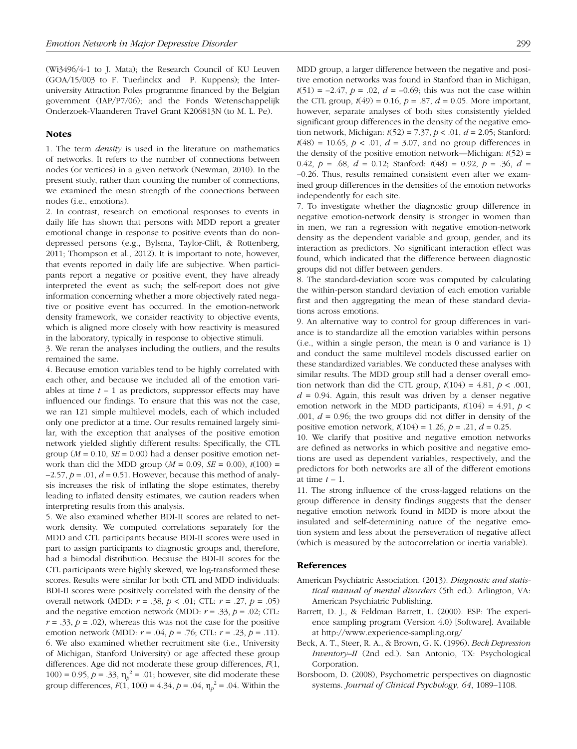(Wi3496/4-1 to J. Mata); the Research Council of KU Leuven (GOA/15/003 to F. Tuerlinckx and P. Kuppens); the Interuniversity Attraction Poles programme financed by the Belgian government (IAP/P7/06); and the Fonds Wetenschappelijk Onderzoek-Vlaanderen Travel Grant K206813N (to M. L. Pe).

### Notes

1. The term *density* is used in the literature on mathematics of networks. It refers to the number of connections between nodes (or vertices) in a given network (Newman, 2010). In the present study, rather than counting the number of connections, we examined the mean strength of the connections between nodes (i.e., emotions).

2. In contrast, research on emotional responses to events in daily life has shown that persons with MDD report a greater emotional change in response to positive events than do nondepressed persons (e.g., Bylsma, Taylor-Clift, & Rottenberg, 2011; Thompson et al., 2012). It is important to note, however, that events reported in daily life are subjective. When participants report a negative or positive event, they have already interpreted the event as such; the self-report does not give information concerning whether a more objectively rated negative or positive event has occurred. In the emotion-network density framework, we consider reactivity to objective events, which is aligned more closely with how reactivity is measured in the laboratory, typically in response to objective stimuli.

3. We reran the analyses including the outliers, and the results remained the same.

4. Because emotion variables tend to be highly correlated with each other, and because we included all of the emotion variables at time  $t - 1$  as predictors, suppressor effects may have influenced our findings. To ensure that this was not the case, we ran 121 simple multilevel models, each of which included only one predictor at a time. Our results remained largely similar, with the exception that analyses of the positive emotion network yielded slightly different results: Specifically, the CTL group ( $M = 0.10$ ,  $SE = 0.00$ ) had a denser positive emotion network than did the MDD group ( $M = 0.09$ ,  $SE = 0.00$ ),  $t(100) =$  $-2.57$ ,  $p = .01$ ,  $d = 0.51$ . However, because this method of analysis increases the risk of inflating the slope estimates, thereby leading to inflated density estimates, we caution readers when interpreting results from this analysis.

5. We also examined whether BDI-II scores are related to network density. We computed correlations separately for the MDD and CTL participants because BDI-II scores were used in part to assign participants to diagnostic groups and, therefore, had a bimodal distribution. Because the BDI-II scores for the CTL participants were highly skewed, we log-transformed these scores. Results were similar for both CTL and MDD individuals: BDI-II scores were positively correlated with the density of the overall network (MDD: *r* = .38, *p* < .01; CTL: *r* = .27, *p* = .05) and the negative emotion network (MDD:  $r = .33$ ,  $p = .02$ ; CTL:  $r = .33$ ,  $p = .02$ ), whereas this was not the case for the positive emotion network (MDD: *r* = .04, *p* = .76; CTL: *r* = .23, *p* = .11). 6. We also examined whether recruitment site (i.e., University of Michigan, Stanford University) or age affected these group differences. Age did not moderate these group differences, *F*(1, 100) = 0.95,  $p = .33$ ,  $\eta_p^2 = .01$ ; however, site did moderate these group differences,  $F(1, 100) = 4.34$ ,  $p = .04$ ,  $\eta_p^2 = .04$ . Within the  $t(48) = 10.65, p < .01, d = 3.07,$  and no group differences in the density of the positive emotion network—Michigan: *t*(52) = 0.42, *p* = .68, *d* = 0.12; Stanford: *t*(48) = 0.92, *p =* .36, *d* = –0.26. Thus, results remained consistent even after we examined group differences in the densities of the emotion networks independently for each site.

7. To investigate whether the diagnostic group difference in negative emotion-network density is stronger in women than in men, we ran a regression with negative emotion-network density as the dependent variable and group, gender, and its interaction as predictors. No significant interaction effect was found, which indicated that the difference between diagnostic groups did not differ between genders.

8. The standard-deviation score was computed by calculating the within-person standard deviation of each emotion variable first and then aggregating the mean of these standard deviations across emotions.

9. An alternative way to control for group differences in variance is to standardize all the emotion variables within persons (i.e., within a single person, the mean is 0 and variance is 1) and conduct the same multilevel models discussed earlier on these standardized variables. We conducted these analyses with similar results. The MDD group still had a denser overall emotion network than did the CTL group,  $t(104) = 4.81$ ,  $p < .001$ ,  $d = 0.94$ . Again, this result was driven by a denser negative emotion network in the MDD participants,  $t(104) = 4.91$ ,  $p <$ .001,  $d = 0.96$ ; the two groups did not differ in density of the positive emotion network,  $t(104) = 1.26$ ,  $p = .21$ ,  $d = 0.25$ .

10. We clarify that positive and negative emotion networks are defined as networks in which positive and negative emotions are used as dependent variables, respectively, and the predictors for both networks are all of the different emotions at time  $t - 1$ .

11. The strong influence of the cross-lagged relations on the group difference in density findings suggests that the denser negative emotion network found in MDD is more about the insulated and self-determining nature of the negative emotion system and less about the perseveration of negative affect (which is measured by the autocorrelation or inertia variable).

### **References**

- American Psychiatric Association. (2013). *Diagnostic and statistical manual of mental disorders* (5th ed.). Arlington, VA: American Psychiatric Publishing.
- Barrett, D. J., & Feldman Barrett, L. (2000). ESP: The experience sampling program (Version 4.0) [Software]. Available at http://www.experience-sampling.org/
- Beck, A. T., Steer, R. A., & Brown, G. K. (1996). *Beck Depression Inventory–II* (2nd ed.). San Antonio, TX: Psychological Corporation.
- Borsboom, D. (2008), Psychometric perspectives on diagnostic systems. *Journal of Clinical Psychology*, *64*, 1089–1108.